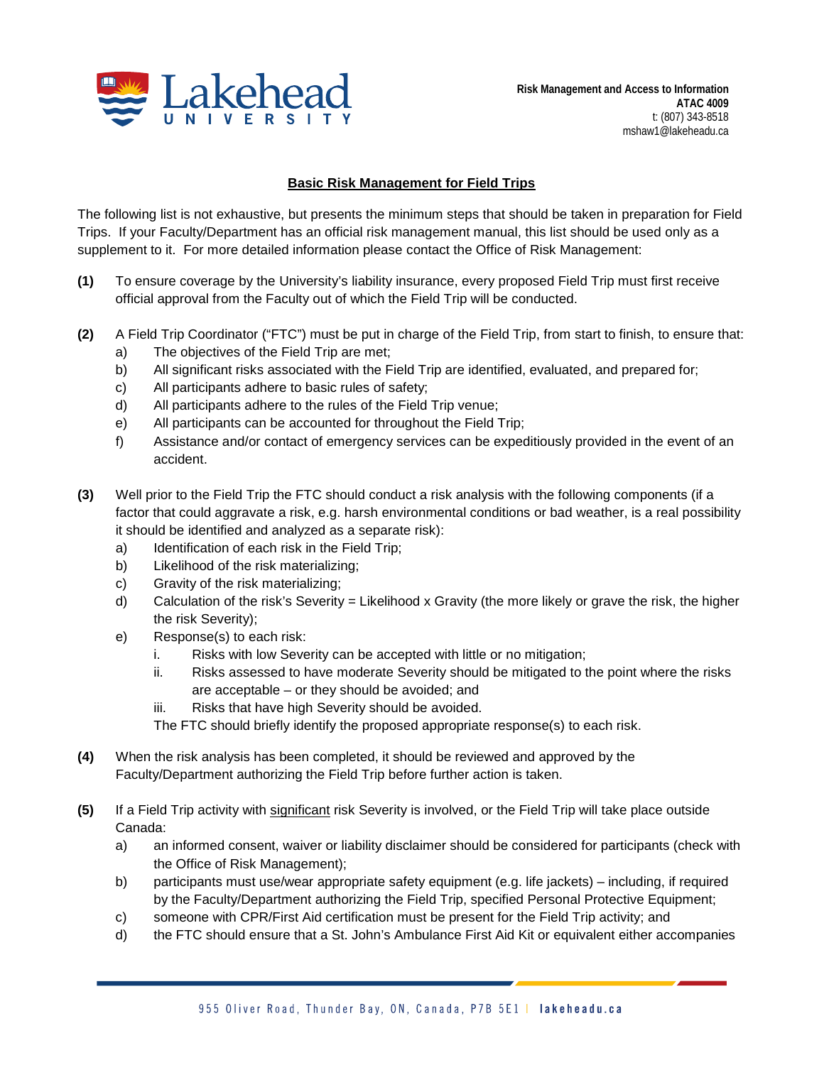

## **Basic Risk Management for Field Trips**

The following list is not exhaustive, but presents the minimum steps that should be taken in preparation for Field Trips. If your Faculty/Department has an official risk management manual, this list should be used only as a supplement to it. For more detailed information please contact the Office of Risk Management:

- **(1)** To ensure coverage by the University's liability insurance, every proposed Field Trip must first receive official approval from the Faculty out of which the Field Trip will be conducted.
- **(2)** A Field Trip Coordinator ("FTC") must be put in charge of the Field Trip, from start to finish, to ensure that:
	- a) The objectives of the Field Trip are met;
	- b) All significant risks associated with the Field Trip are identified, evaluated, and prepared for;
	- c) All participants adhere to basic rules of safety;
	- d) All participants adhere to the rules of the Field Trip venue;
	- e) All participants can be accounted for throughout the Field Trip;
	- f) Assistance and/or contact of emergency services can be expeditiously provided in the event of an accident.
- **(3)** Well prior to the Field Trip the FTC should conduct a risk analysis with the following components (if a factor that could aggravate a risk, e.g. harsh environmental conditions or bad weather, is a real possibility it should be identified and analyzed as a separate risk):
	- a) Identification of each risk in the Field Trip;
	- b) Likelihood of the risk materializing;
	- c) Gravity of the risk materializing;
	- d) Calculation of the risk's Severity = Likelihood x Gravity (the more likely or grave the risk, the higher the risk Severity);
	- e) Response(s) to each risk:
		- i. Risks with low Severity can be accepted with little or no mitigation;
		- ii. Risks assessed to have moderate Severity should be mitigated to the point where the risks are acceptable – or they should be avoided; and
		- iii. Risks that have high Severity should be avoided.
		- The FTC should briefly identify the proposed appropriate response(s) to each risk.
- **(4)** When the risk analysis has been completed, it should be reviewed and approved by the Faculty/Department authorizing the Field Trip before further action is taken.
- **(5)** If a Field Trip activity with significant risk Severity is involved, or the Field Trip will take place outside Canada:
	- a) an informed consent, waiver or liability disclaimer should be considered for participants (check with the Office of Risk Management);
	- b) participants must use/wear appropriate safety equipment (e.g. life jackets) including, if required by the Faculty/Department authorizing the Field Trip, specified Personal Protective Equipment;
	- c) someone with CPR/First Aid certification must be present for the Field Trip activity; and
	- d) the FTC should ensure that a St. John's Ambulance First Aid Kit or equivalent either accompanies